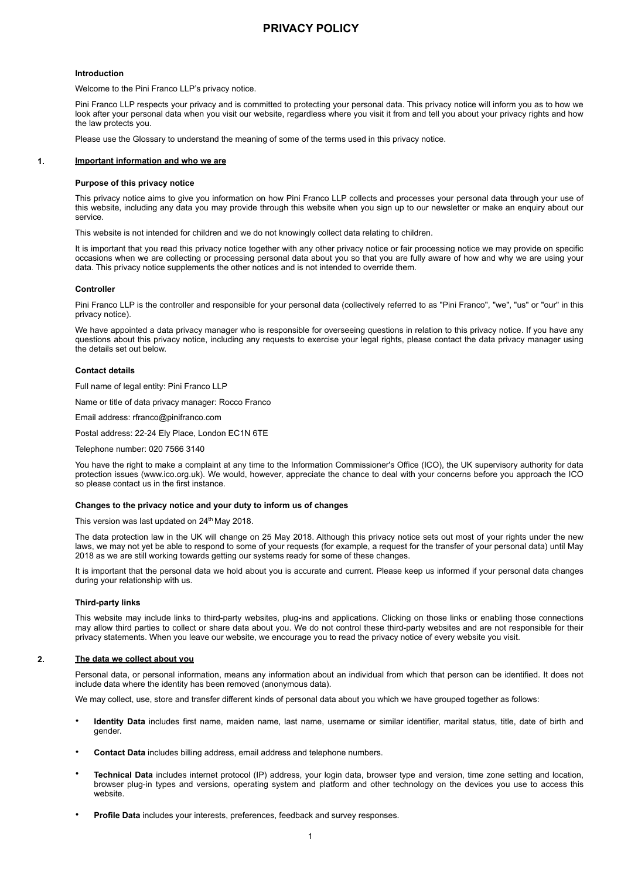# **PRIVACY POLICY**

# **Introduction**

Welcome to the Pini Franco LLP's privacy notice.

Pini Franco LLP respects your privacy and is committed to protecting your personal data. This privacy notice will inform you as to how we look after your personal data when you visit our website, regardless where you visit it from and tell you about your privacy rights and how the law protects you.

Please use the Glossary to understand the meaning of some of the terms used in this privacy notice.

# **1. Important information and who we are**

#### **Purpose of this privacy notice**

This privacy notice aims to give you information on how Pini Franco LLP collects and processes your personal data through your use of this website, including any data you may provide through this website when you sign up to our newsletter or make an enquiry about our service.

This website is not intended for children and we do not knowingly collect data relating to children.

It is important that you read this privacy notice together with any other privacy notice or fair processing notice we may provide on specific occasions when we are collecting or processing personal data about you so that you are fully aware of how and why we are using your data. This privacy notice supplements the other notices and is not intended to override them.

### **Controller**

Pini Franco LLP is the controller and responsible for your personal data (collectively referred to as "Pini Franco", "we", "us" or "our" in this privacy notice).

We have appointed a data privacy manager who is responsible for overseeing questions in relation to this privacy notice. If you have any questions about this privacy notice, including any requests to exercise your legal rights, please contact the data privacy manager using the details set out below.

### **Contact details**

Full name of legal entity: Pini Franco LLP

Name or title of data privacy manager: Rocco Franco

Email address: rfranco@pinifranco.com

Postal address: 22-24 Ely Place, London EC1N 6TE

Telephone number: 020 7566 3140

You have the right to make a complaint at any time to the Information Commissioner's Office (ICO), the UK supervisory authority for data protection issues (www.ico.org.uk). We would, however, appreciate the chance to deal with your concerns before you approach the ICO so please contact us in the first instance.

# **Changes to the privacy notice and your duty to inform us of changes**

This version was last updated on 24<sup>th</sup> May 2018.

The data protection law in the UK will change on 25 May 2018. Although this privacy notice sets out most of your rights under the new laws, we may not yet be able to respond to some of your requests (for example, a request for the transfer of your personal data) until May 2018 as we are still working towards getting our systems ready for some of these changes.

It is important that the personal data we hold about you is accurate and current. Please keep us informed if your personal data changes during your relationship with us.

# **Third-party links**

This website may include links to third-party websites, plug-ins and applications. Clicking on those links or enabling those connections may allow third parties to collect or share data about you. We do not control these third-party websites and are not responsible for their privacy statements. When you leave our website, we encourage you to read the privacy notice of every website you visit.

# **2. The data we collect about you**

Personal data, or personal information, means any information about an individual from which that person can be identified. It does not include data where the identity has been removed (anonymous data).

We may collect, use, store and transfer different kinds of personal data about you which we have grouped together as follows:

- **Identity Data** includes first name, maiden name, last name, username or similar identifier, marital status, title, date of birth and gender.
- **Contact Data** includes billing address, email address and telephone numbers.
- **Technical Data** includes internet protocol (IP) address, your login data, browser type and version, time zone setting and location, browser plug-in types and versions, operating system and platform and other technology on the devices you use to access this website.
- **Profile Data** includes your interests, preferences, feedback and survey responses.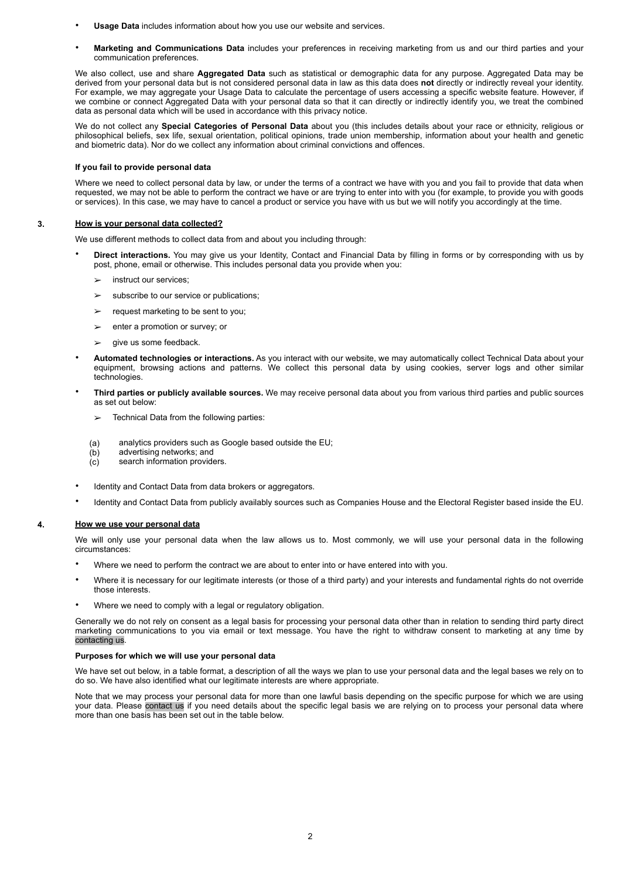- **Usage Data** includes information about how you use our website and services.
- **Marketing and Communications Data** includes your preferences in receiving marketing from us and our third parties and your communication preferences.

We also collect, use and share **Aggregated Data** such as statistical or demographic data for any purpose. Aggregated Data may be derived from your personal data but is not considered personal data in law as this data does **not** directly or indirectly reveal your identity. For example, we may aggregate your Usage Data to calculate the percentage of users accessing a specific website feature. However, if we combine or connect Aggregated Data with your personal data so that it can directly or indirectly identify you, we treat the combined data as personal data which will be used in accordance with this privacy notice.

We do not collect any **Special Categories of Personal Data** about you (this includes details about your race or ethnicity, religious or philosophical beliefs, sex life, sexual orientation, political opinions, trade union membership, information about your health and genetic and biometric data). Nor do we collect any information about criminal convictions and offences.

# **If you fail to provide personal data**

Where we need to collect personal data by law, or under the terms of a contract we have with you and you fail to provide that data when requested, we may not be able to perform the contract we have or are trying to enter into with you (for example, to provide you with goods or services). In this case, we may have to cancel a product or service you have with us but we will notify you accordingly at the time.

# **3. How is your personal data collected?**

We use different methods to collect data from and about you including through:

- **Direct interactions.** You may give us your Identity, Contact and Financial Data by filling in forms or by corresponding with us by post, phone, email or otherwise. This includes personal data you provide when you:
	- $\geq$  instruct our services:
	- $\geq$  subscribe to our service or publications:
	- $\geq$  request marketing to be sent to you:
	- $\triangleright$  enter a promotion or survey; or
	- give us some feedback.
- **Automated technologies or interactions.** As you interact with our website, we may automatically collect Technical Data about your equipment, browsing actions and patterns. We collect this personal data by using cookies, server logs and other similar technologies.
- **Third parties or publicly available sources.** We may receive personal data about you from various third parties and public sources as set out below:
	- $\geq$  Technical Data from the following parties:
	- (a) analytics providers such as Google based outside the EU;
	- (b) advertising networks; and
	- (c) search information providers.
- Identity and Contact Data from data brokers or aggregators.
- Identity and Contact Data from publicly availably sources such as Companies House and the Electoral Register based inside the EU.

# **4. How we use your personal data**

We will only use your personal data when the law allows us to. Most commonly, we will use your personal data in the following circumstances:

- Where we need to perform the contract we are about to enter into or have entered into with you.
- Where it is necessary for our legitimate interests (or those of a third party) and your interests and fundamental rights do not override those interests.
- Where we need to comply with a legal or regulatory obligation.

Generally we do not rely on consent as a legal basis for processing your personal data other than in relation to sending third party direct marketing communications to you via email or text message. You have the right to withdraw consent to marketing at any time by contacting us.

# **Purposes for which we will use your personal data**

We have set out below, in a table format, a description of all the ways we plan to use your personal data and the legal bases we rely on to do so. We have also identified what our legitimate interests are where appropriate.

Note that we may process your personal data for more than one lawful basis depending on the specific purpose for which we are using your data. Please contact us if you need details about the specific legal basis we are relying on to process your personal data where more than one basis has been set out in the table below.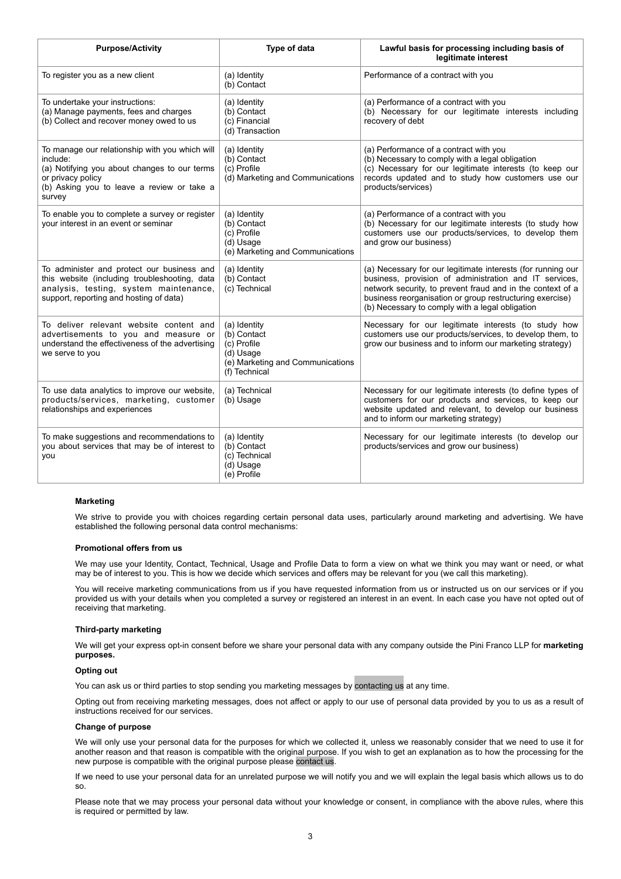| <b>Purpose/Activity</b>                                                                                                                                                                 | Type of data                                                                                                 | Lawful basis for processing including basis of<br>legitimate interest                                                                                                                                                                                                                              |
|-----------------------------------------------------------------------------------------------------------------------------------------------------------------------------------------|--------------------------------------------------------------------------------------------------------------|----------------------------------------------------------------------------------------------------------------------------------------------------------------------------------------------------------------------------------------------------------------------------------------------------|
| To register you as a new client                                                                                                                                                         | (a) Identity<br>(b) Contact                                                                                  | Performance of a contract with you                                                                                                                                                                                                                                                                 |
| To undertake your instructions:<br>(a) Manage payments, fees and charges<br>(b) Collect and recover money owed to us                                                                    | (a) Identity<br>(b) Contact<br>(c) Financial<br>(d) Transaction                                              | (a) Performance of a contract with you<br>(b) Necessary for our legitimate interests including<br>recovery of debt                                                                                                                                                                                 |
| To manage our relationship with you which will<br>include:<br>(a) Notifying you about changes to our terms<br>or privacy policy<br>(b) Asking you to leave a review or take a<br>survey | (a) Identity<br>(b) Contact<br>(c) Profile<br>(d) Marketing and Communications                               | (a) Performance of a contract with you<br>(b) Necessary to comply with a legal obligation<br>(c) Necessary for our legitimate interests (to keep our<br>records updated and to study how customers use our<br>products/services)                                                                   |
| To enable you to complete a survey or register<br>your interest in an event or seminar                                                                                                  | (a) Identity<br>(b) Contact<br>(c) Profile<br>(d) Usage<br>(e) Marketing and Communications                  | (a) Performance of a contract with you<br>(b) Necessary for our legitimate interests (to study how<br>customers use our products/services, to develop them<br>and grow our business)                                                                                                               |
| To administer and protect our business and<br>this website (including troubleshooting, data<br>analysis, testing, system maintenance,<br>support, reporting and hosting of data)        | (a) Identity<br>(b) Contact<br>(c) Technical                                                                 | (a) Necessary for our legitimate interests (for running our<br>business, provision of administration and IT services,<br>network security, to prevent fraud and in the context of a<br>business reorganisation or group restructuring exercise)<br>(b) Necessary to comply with a legal obligation |
| To deliver relevant website content and<br>advertisements to you and measure or<br>understand the effectiveness of the advertising<br>we serve to you                                   | (a) Identity<br>(b) Contact<br>(c) Profile<br>(d) Usage<br>(e) Marketing and Communications<br>(f) Technical | Necessary for our legitimate interests (to study how<br>customers use our products/services, to develop them, to<br>grow our business and to inform our marketing strategy)                                                                                                                        |
| To use data analytics to improve our website,<br>products/services, marketing, customer<br>relationships and experiences                                                                | (a) Technical<br>(b) Usage                                                                                   | Necessary for our legitimate interests (to define types of<br>customers for our products and services, to keep our<br>website updated and relevant, to develop our business<br>and to inform our marketing strategy)                                                                               |
| To make suggestions and recommendations to<br>you about services that may be of interest to<br>you                                                                                      | (a) Identity<br>(b) Contact<br>(c) Technical<br>(d) Usage<br>(e) Profile                                     | Necessary for our legitimate interests (to develop our<br>products/services and grow our business)                                                                                                                                                                                                 |

# **Marketing**

We strive to provide you with choices regarding certain personal data uses, particularly around marketing and advertising. We have established the following personal data control mechanisms:

# **Promotional offers from us**

We may use your Identity, Contact, Technical, Usage and Profile Data to form a view on what we think you may want or need, or what may be of interest to you. This is how we decide which services and offers may be relevant for you (we call this marketing).

You will receive marketing communications from us if you have requested information from us or instructed us on our services or if you provided us with your details when you completed a survey or registered an interest in an event. In each case you have not opted out of receiving that marketing.

# **Third-party marketing**

We will get your express opt-in consent before we share your personal data with any company outside the Pini Franco LLP for **marketing purposes.** 

### **Opting out**

You can ask us or third parties to stop sending you marketing messages by contacting us at any time.

Opting out from receiving marketing messages, does not affect or apply to our use of personal data provided by you to us as a result of instructions received for our services.

# **Change of purpose**

We will only use your personal data for the purposes for which we collected it, unless we reasonably consider that we need to use it for another reason and that reason is compatible with the original purpose. If you wish to get an explanation as to how the processing for the new purpose is compatible with the original purpose please contact us.

If we need to use your personal data for an unrelated purpose we will notify you and we will explain the legal basis which allows us to do so.

Please note that we may process your personal data without your knowledge or consent, in compliance with the above rules, where this is required or permitted by law.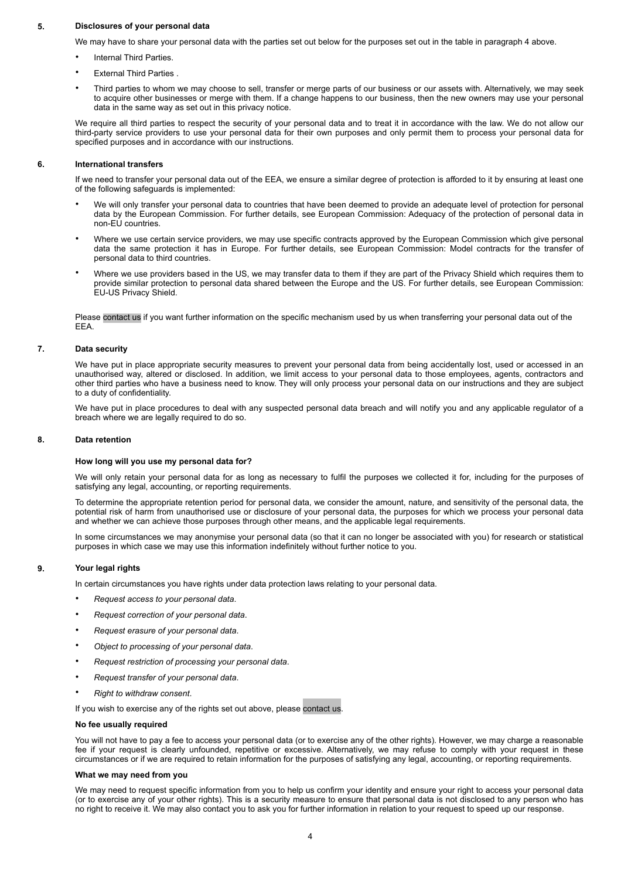# **5. Disclosures of your personal data**

We may have to share your personal data with the parties set out below for the purposes set out in the table in paragraph 4 above.

- Internal Third Parties.
- **External Third Parties.**
- Third parties to whom we may choose to sell, transfer or merge parts of our business or our assets with. Alternatively, we may seek to acquire other businesses or merge with them. If a change happens to our business, then the new owners may use your personal data in the same way as set out in this privacy notice.

We require all third parties to respect the security of your personal data and to treat it in accordance with the law. We do not allow our third-party service providers to use your personal data for their own purposes and only permit them to process your personal data for specified purposes and in accordance with our instructions.

# **6. International transfers**

If we need to transfer your personal data out of the EEA, we ensure a similar degree of protection is afforded to it by ensuring at least one of the following safeguards is implemented:

- We will only transfer your personal data to countries that have been deemed to provide an adequate level of protection for personal data by the European Commission. For further details, see European Commission: Adequacy of the protection of personal data in non-EU countries.
- Where we use certain service providers, we may use specific contracts approved by the European Commission which give personal data the same protection it has in Europe. For further details, see European Commission: Model contracts for the transfer of personal data to third countries.
- Where we use providers based in the US, we may transfer data to them if they are part of the Privacy Shield which requires them to provide similar protection to personal data shared between the Europe and the US. For further details, see European Commission: EU-US Privacy Shield.

Please contact us if you want further information on the specific mechanism used by us when transferring your personal data out of the EEA.

# **7. Data security**

We have put in place appropriate security measures to prevent your personal data from being accidentally lost, used or accessed in an unauthorised way, altered or disclosed. In addition, we limit access to your personal data to those employees, agents, contractors and other third parties who have a business need to know. They will only process your personal data on our instructions and they are subject to a duty of confidentiality.

We have put in place procedures to deal with any suspected personal data breach and will notify you and any applicable regulator of a breach where we are legally required to do so.

# **8. Data retention**

# **How long will you use my personal data for?**

We will only retain your personal data for as long as necessary to fulfil the purposes we collected it for, including for the purposes of satisfying any legal, accounting, or reporting requirements.

To determine the appropriate retention period for personal data, we consider the amount, nature, and sensitivity of the personal data, the potential risk of harm from unauthorised use or disclosure of your personal data, the purposes for which we process your personal data and whether we can achieve those purposes through other means, and the applicable legal requirements.

In some circumstances we may anonymise your personal data (so that it can no longer be associated with you) for research or statistical purposes in which case we may use this information indefinitely without further notice to you.

### **9. Your legal rights**

In certain circumstances you have rights under data protection laws relating to your personal data.

- *Request access to your personal data*.
- *Request correction of your personal data*.
- *Request erasure of your personal data*.
- *Object to processing of your personal data*.
- *Request restriction of processing your personal data*.
- *Request transfer of your personal data*.
- *Right to withdraw consent*.

If you wish to exercise any of the rights set out above, please contact us.

# **No fee usually required**

You will not have to pay a fee to access your personal data (or to exercise any of the other rights). However, we may charge a reasonable fee if your request is clearly unfounded, repetitive or excessive. Alternatively, we may refuse to comply with your request in these circumstances or if we are required to retain information for the purposes of satisfying any legal, accounting, or reporting requirements.

### **What we may need from you**

We may need to request specific information from you to help us confirm your identity and ensure your right to access your personal data (or to exercise any of your other rights). This is a security measure to ensure that personal data is not disclosed to any person who has no right to receive it. We may also contact you to ask you for further information in relation to your request to speed up our response.